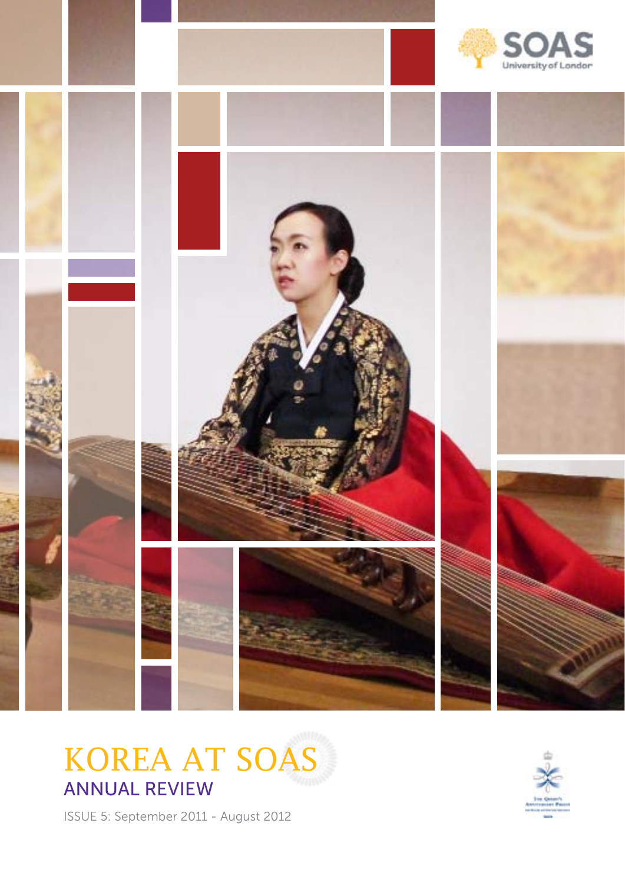

KOREA AT SOAS ANNUAL REVIEW

ISSUE 5: September 2011 - August 2012

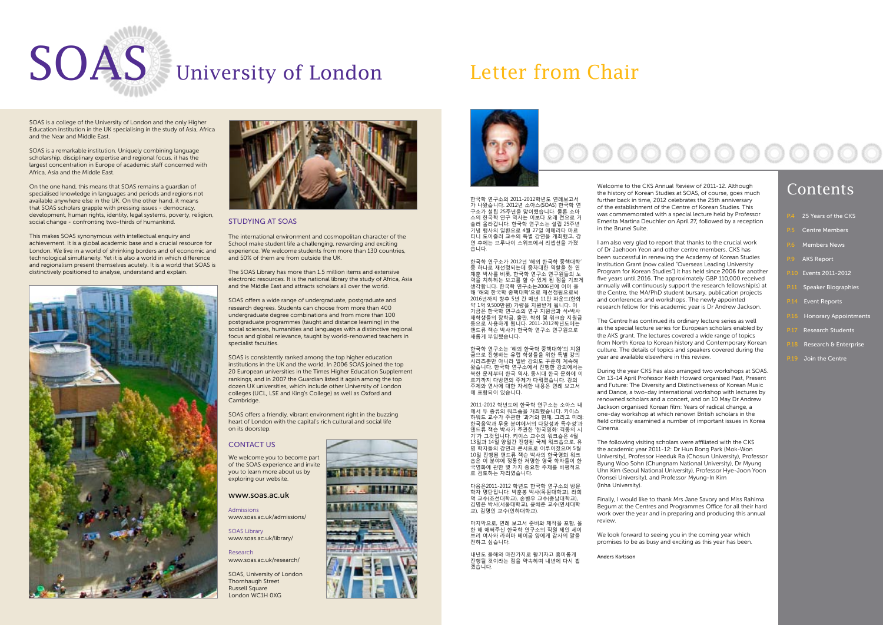SOAS is a college of the University of London and the only Higher Education institution in the UK specialising in the study of Asia, Africa and the Near and Middle East.

SOAS is a remarkable institution. Uniquely combining language scholarship, disciplinary expertise and regional focus, it has the largest concentration in Europe of academic staff concerned with Africa, Asia and the Middle East.

On the one hand, this means that SOAS remains a guardian of specialised knowledge in languages and periods and regions not available anywhere else in the UK. On the other hand, it means that SOAS scholars grapple with pressing issues - democracy, development, human rights, identity, legal systems, poverty, religion, social change - confronting two-thirds of humankind.

This makes SOAS synonymous with intellectual enquiry and achievement. It is a global academic base and a crucial resource for London. We live in a world of shrinking borders and of economic and technological simultaneity. Yet it is also a world in which difference and regionalism present themselves acutely. It is a world that SOAS is distinctively positioned to analyse, understand and explain.





## STUDYING AT SOAS

The international environment and cosmopolitan character of the School make student life a challenging, rewarding and exciting experience. We welcome students from more than 130 countries, and 50% of them are from outside the UK.

The SOAS Library has more than 1.5 million items and extensive electronic resources. It is the national library the study of Africa, Asia and the Middle East and attracts scholars all over the world.

SOAS offers a wide range of undergraduate, postgraduate and research degrees. Students can choose from more than 400 undergraduate degree combinations and from more than 100 postgraduate programmes (taught and distance learning) in the social sciences, humanities and languages with a distinctive regional focus and global relevance, taught by world-renowned teachers in specialist faculties.

SOAS is consistently ranked among the top higher education institutions in the UK and the world. In 2006 SOAS joined the top 20 European universities in the Times Higher Education Supplement rankings, and in 2007 the Guardian listed it again among the top dozen UK universities, which include other University of London colleges (UCL, LSE and King's College) as well as Oxford and Cambridge.

SOAS offers a friendly, vibrant environment right in the buzzing heart of London with the capital's rich cultural and social life on its doorstep.

## **CONTACT US**

We welcome you to become part of the SOAS experience and invite you to learn more about us by exploring our website.

> We look forward to seeing you in the coming year which promises to be as busy and exciting as this year has been.

#### www.soas.ac.uk

Admissions www.soas.ac.uk/admissions/

SOAS Library www.soas.ac.uk/library/

Research www.soas.ac.uk/research/

SOAS, University of London Thornhaugh Street Russell Square London WC1H 0XG





Welcome to the CKS Annual Review of 2011-12. Although the history of Korean Studies at SOAS, of course, goes much further back in time, 2012 celebrates the 25th anniversary of the establishment of the Centre of Korean Studies. This was commemorated with a special lecture held by Professor Emerita Martina Deuchler on April 27, followed by a reception in the Brunei Suite.

I am also very glad to report that thanks to the crucial work of Dr Jaehoon Yeon and other centre members, CKS has been successful in renewing the Academy of Korean Studies Institution Grant (now called "Overseas Leading University Program for Korean Studies") it has held since 2006 for another five years until 2016. The approximately GBP 110,000 received annually will continuously support the research fellowship(s) at the Centre, the MA/PhD student bursary, publication projects and conferences and workshops. The newly appointed research fellow for this academic year is Dr Andrew Jackson.



The Centre has continued its ordinary lecture series as well as the special lecture series for European scholars enabled by the AKS grant. The lectures covered a wide range of topics from North Korea to Korean history and Contemporary Korean culture. The details of topics and speakers covered during the year are available elsewhere in this review.

During the year CKS has also arranged two workshops at SOAS. On 13-14 April Professor Keith Howard organised Past, Present and Future: The Diversity and Distinctiveness of Korean Music and Dance, a two-day international workshop with lectures by renowned scholars and a concert, and on 10 May Dr Andrew Jackson organised Korean film: Years of radical change, a one-day workshop at which renown British scholars in the field critically examined a number of important issues in Korea Cinema.

The following visiting scholars were affiliated with the CKS the academic year 2011-12: Dr Hun Bong Park (Mok-Won University), Professor Heeduk Ra (Chosun University), Professor Byung Woo Sohn (Chungnam National University), Dr Myung Uhn Kim (Seoul National University), Professor Hye-Joon Yoon (Yonsei University), and Professor Myung-In Kim (Inha University).

Finally, I would like to thank Mrs Jane Savory and Miss Rahima Begum at the Centres and Programmes Office for all their hard work over the year and in preparing and producing this annual review.

Anders Karlsson









# Contents

한국학 연구소의 2011-2012학년도 연례보고서 가 나왔습니다. 2012년 소아스(SOAS) 한국학 연 구소가 설립 25주년을 맞이했습니다. 물론 소아 스의 한국학 연구 역사는 이보다 오래 전으로 거 슬러 올라갑니다. 한국학 연구소는 설립 25주년 기념 행사의 일환으로 4월 27일 에메리타 마르 티니 도이츨러 교수의 특별 강연을 개최했고, 강 연 후에는 브루나이 스위트에서 리셉션을 가졌 습니다.

한국학 연구소가 2012년 '해외 한국학 중핵대학' 중 하나로 재선정되는데 중차대한 역할을 한 연 재훈 박사를 비롯, 한국학 연구소 연구원들의 노 력을 치하하는 보고를 할 수 있게 된 점을 기쁘게 생각합니다. 한국학 연구소는2006년에 이어 올 해 '해외 한국학 중핵대학'으로 재선정됨으로써 -<sub>메</sub>--<sub>메</sub>크 난 구국 승규에서 스포 에는 8日스포어<br>2016년까지 향후 5년 간 매년 11만 파운드(한화 약 1억 9,500만원) 가량을 지원받게 됩니다. 이 기금은 한국학 연구소의 연구 지원금과 석•박사 재학생들의 장학금, 출판, 학회 및 워크숍 지원금 등으로 사용하게 됩니다. 2011-2012학년도에는 앤드류 잭슨 박사가 한국학 연구소 연구원으로 새롭게 부임했습니다.

한국학 연구소는 '해외 한국학 중핵대학'의 지원 금으로 진행하는 유럽 학생들을 위한 특별 강의 시리즈뿐만 아니라 일반 강의도 꾸준히 계속해 왔습니다. 한국학 연구소에서 진행한 강의에서는 북한 문제부터 한국 역사, 동시대 한국 문화에 이 르기까지 다방면의 주제가 다뤄졌습니다. 강의 주제와 연사에 대한 자세한 내용은 연례 보고서 에 포함되어 있습니다.

2011-2012 학년도에 한국학 연구소는 소아스 내 에서 두 종류의 워크숍을 개최했습니다. 키이스 하워드 교수가 주관한 '과거와 현재, 그리고 미래: 한국음악과 무용 분야에서의 다양성과 특수성'과 앤드류 잭슨 박사가 주관한 '한국영화: 격동의 시 기'가 그것입니다. 키이스 교수의 워크숍은 4월 -1-1 그것법ㅋㅋ: 시키스 표| 그| 넘그법은 1을<br>13일과 14일 양일간 진행된 국제 워크숍으로, 유 명 학자들의 강연과 콘서트로 이루어졌으며 5월 10일 진행된 앤드류 잭슨 박사의 한국영화 워크 숍은 이 분야에 정통한 저명한 영국 학자들이 한 국영화에 관한 몇 가지 중요한 주제를 비평적으 로 검토하는 자리였습니다.

다음은2011-2012 학년도 한국학 연구소의 방문 학자 명단입니다: 박훈봉 박사(목원대학교), 라희 덕 교수(조선대학교), 손병우 교수(충남대학교), 김명은 박사(서울대학교), 윤혜준 교수(연세대학 교), 김명인 교수(인하대학교).

마지막으로, 연례 보고서 준비와 제작을 포함, 올 한 해 애써주신 한국학 연구소의 직원 제인 세이 브리 여사와 라히마 베이굼 양에게 감사의 말을 전하고 싶습니다.

내년도 올해와 마찬가지로 활기차고 흥미롭게 진행될 것이라는 점을 약속하며 내년에 다시 뵙 겠습니다.

|  | P.4 25 Years of the CKS |  |  |
|--|-------------------------|--|--|
|  |                         |  |  |

- **Centre Members**
- **Members News**
- **AKS Report**
- P.10 Events 2011-2012
- Speaker Biographies
- **Event Reports**
- Honorary Appointments
- Research Students
- Research & Enterprise
- Join the Centre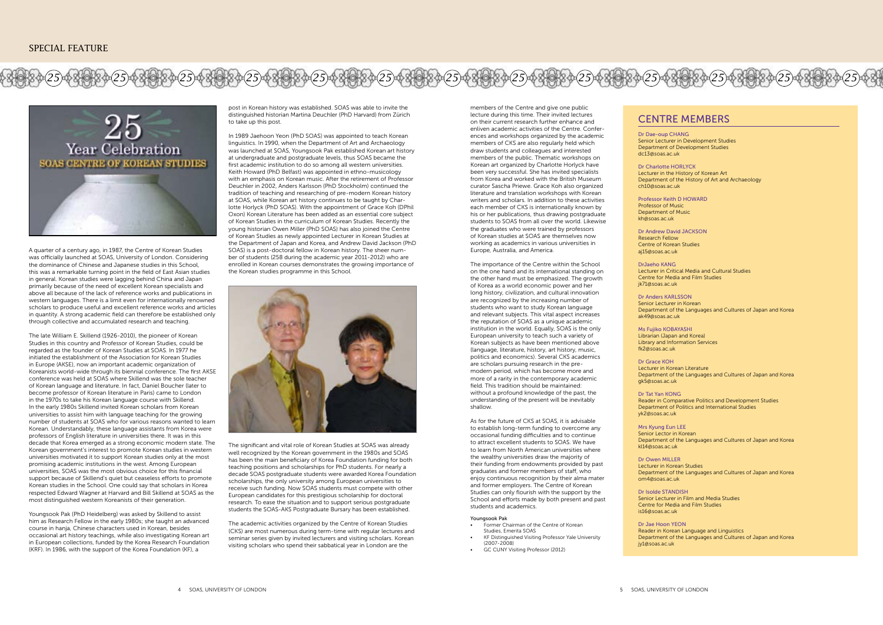

A quarter of a century ago, in 1987, the Centre of Korean Studies was officially launched at SOAS, University of London. Considering the dominance of Chinese and Japanese studies in this School, this was a remarkable turning point in the field of East Asian studies in general. Korean studies were lagging behind China and Japan primarily because of the need of excellent Korean specialists and above all because of the lack of reference works and publications in western languages. There is a limit even for internationally renowned scholars to produce useful and excellent reference works and articles in quantity. A strong academic field can therefore be established only through collective and accumulated research and teaching.

post in Korean history was established. SOAS was able to invite the distinguished historian Martina Deuchler (PhD Harvard) from Zürich to take un this post.

The late William E. Skillend (1926-2010), the pioneer of Korean Studies in this country and Professor of Korean Studies, could be regarded as the founder of Korean Studies at SOAS. In 1977 he initiated the establishment of the Association for Korean Studies in Europe (AKSE), now an important academic organization of Koreanists world-wide through its biennial conference. The first AKSE conference was held at SOAS where Skillend was the sole teacher of Korean language and literature. In fact, Daniel Boucher (later to become professor of Korean literature in Paris) came to London in the 1970s to take his Korean language course with Skillend. In the early 1980s Skillend invited Korean scholars from Korean universities to assist him with language teaching for the growing number of students at SOAS who for various reasons wanted to learn Korean. Understandably, these language assistants from Korea were professors of English literature in universities there. It was in this decade that Korea emerged as a strong economic modern state. The Korean government's interest to promote Korean studies in western universities motivated it to support Korean studies only at the most promising academic institutions in the west. Among European universities, SOAS was the most obvious choice for this financial support because of Skillend's quiet but ceaseless efforts to promote Korean studies in the School. One could say that scholars in Korea respected Edward Wagner at Harvard and Bill Skillend at SOAS as the most distinguished western Koreanists of their generation.

Youngsook Pak (PhD Heidelberg) was asked by Skillend to assist him as Research Fellow in the early 1980s; she taught an advanced course in hanja, Chinese characters used in Korean, besides occasional art history teachings, while also investigating Korean art in European collections, funded by the Korea Research Foundation (KRF). In 1986, with the support of the Korea Foundation (KF), a

Senior Lecturer in Development Studies Department of Development Studies

Lecturer in the History of Korean Art Department of the History of Art and Archaeology

In 1989 Jaehoon Yeon (PhD SOAS) was appointed to teach Korean linguistics. In 1990, when the Department of Art and Archaeology was launched at SOAS, Youngsook Pak established Korean art history at undergraduate and postgraduate levels, thus SOAS became the first academic institution to do so among all western universities. Keith Howard (PhD Belfast) was appointed in ethno-musicology with an emphasis on Korean music. After the retirement of Professor Deuchler in 2002, Anders Karlsson (PhD Stockholm) continued the tradition of teaching and researching of pre-modern Korean history at SOAS, while Korean art history continues to be taught by Charlotte Horlyck (PhD SOAS). With the appointment of Grace Koh (DPhil Oxon) Korean Literature has been added as an essential core subject of Korean Studies in the curriculum of Korean Studies. Recently the young historian Owen Miller (PhD SOAS) has also joined the Centre of Korean Studies as newly appointed Lecturer in Korean Studies at the Department of Japan and Korea, and Andrew David Jackson (PhD SOAS) is a post-doctoral fellow in Korean history. The sheer number of students (258 during the academic year 2011-2012) who are enrolled in Korean courses demonstrates the growing importance of the Korean studies programme in this School.



The significant and vital role of Korean Studies at SOAS was already well recognized by the Korean government in the 1980s and SOAS has been the main beneficiary of Korea Foundation funding for both teaching positions and scholarships for PhD students. For nearly a decade SOAS postgraduate students were awarded Korea Foundation scholarships, the only university among European universities to receive such funding. Now SOAS students must compete with other European candidates for this prestigious scholarship for doctoral research. To ease the situation and to support serious postgraduate students the SOAS-AKS Postgraduate Bursary has been established.

The academic activities organized by the Centre of Korean Studies (CKS) are most numerous during term-time with regular lectures and seminar series given by invited lecturers and visiting scholars. Korean visiting scholars who spend their sabbatical year in London are the

Dr Dae-oup CHANG dc13@soas.ac.uk

#### Dr Charlotte HORLYCK

ch10@soas.ac.uk

# Professor Keith D HOWARD

Professor of Music Department of Music kh@soas.ac.uk

#### Dr Andrew David JACKSON

Research Fellow aj15@soas.ac.uk

Centre of Korean Studies

Lecturer in Critical Media and Cultural Studies Centre for Media and Film Studies

DrJaeho KANG jk71@soas.ac.uk

#### Dr Anders KARLSSON

Senior Lecturer in Korean Department of the Languages and Cultures of Japan and Korea

ak49@soas.ac.uk

#### Ms Fujiko KOBAYASHI

Librarian (Japan and Korea) Library and Information Services

fk2@soas.ac.uk

Dr Grace KOH Lecturer in Korean Literature Department of the Languages and Cultures of Japan and Korea gk5@soas.ac.uk

Dr Tat Yan KONG Reader in Comparative Politics and Development Studies Department of Politics and International Studies yk2@soas.ac.uk

Mrs Kyung Eun LEE Senior Lector in Korean kl14@soas.ac.uk

Department of the Languages and Cultures of Japan and Korea

Dr Owen MILLER Lecturer in Korean Studies Department of the Languages and Cultures of Japan and Korea om4@soas.ac.uk

Dr Isolde STANDISH is16@soas.ac.uk

Senior Lecturer in Film and Media Studies Centre for Media and Film Studies

Dr Jae Hoon YEON jy1@soas.ac.uk

Reader in Korean Language and Linguistics Department of the Languages and Cultures of Japan and Korea

## CENTRE MEMBERS



members of the Centre and give one public lecture during this time. Their invited lectures on their current research further enhance and enliven academic activities of the Centre. Conferences and workshops organized by the academic members of CKS are also regularly held which draw students and colleagues and interested members of the public. Thematic workshops on Korean art organized by Charlotte Horlyck have been very successful. She has invited specialists from Korea and worked with the British Museum curator Sascha Priewe. Grace Koh also organized literature and translation workshops with Korean writers and scholars. In addition to these activities each member of CKS is internationally known by his or her publications, thus drawing postgraduate students to SOAS from all over the world. Likewise the graduates who were trained by professors of Korean studies at SOAS are themselves now working as academics in various universities in Europe, Australia, and America.

The importance of the Centre within the School on the one hand and its international standing on the other hand must be emphasized. The growth of Korea as a world economic power and her long history, civilization, and cultural innovation are recognized by the increasing number of students who want to study Korean language and relevant subjects. This vital aspect increases the reputation of SOAS as a unique academic institution in the world. Equally, SOAS is the only European university to teach such a variety of Korean subjects as have been mentioned above (language, literature, history, art history, music, politics and economics). Several CKS academics are scholars pursuing research in the premodern period, which has become more and more of a rarity in the contemporary academic field. This tradition should be maintained: without a profound knowledge of the past, the understanding of the present will be inevitably shallow.

As for the future of CKS at SOAS, it is advisable to establish long-term funding to overcome any occasional funding difficulties and to continue to attract excellent students to SOAS. We have to learn from North American universities where the wealthy universities draw the majority of their funding from endowments provided by past graduates and former members of staff, who enjoy continuous recognition by their alma mater and former employers. The Centre of Korean Studies can only flourish with the support by the School and efforts made by both present and past students and academics.

#### Youngsook Pak

- Former Chairman of the Centre of Korean Studies, Emerita SOAS KF Distinguished Visiting Professor Yale University
- $(2007 2008)$ **GC CUNY Visiting Professor (2012)**
-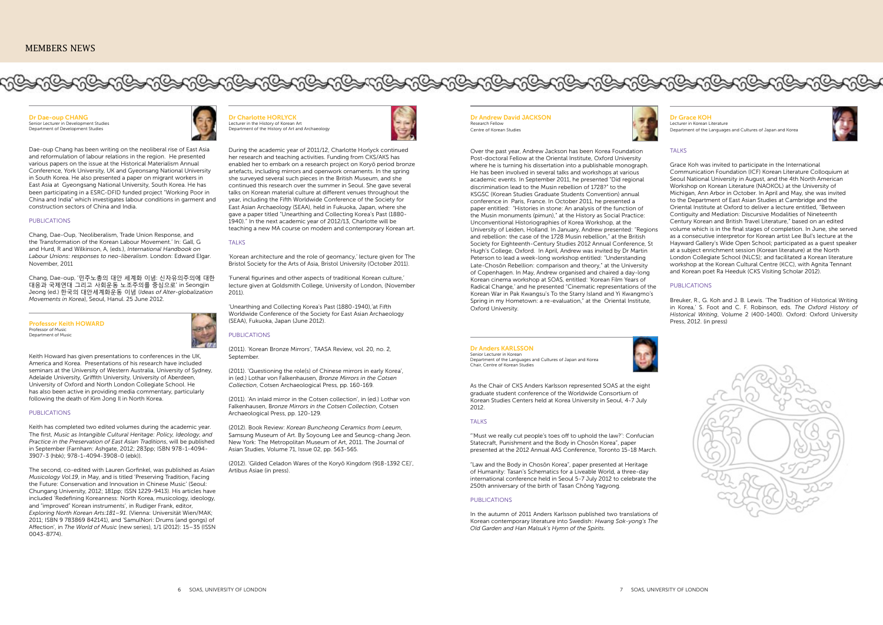Dr Andrew David JACKSON **Research Fellow** Centre of Korean Studies



**Dr Dae-oup CHANG**<br>Senior Lecturer in Development Studies Department of Development Studies

Over the past year, Andrew Jackson has been Korea Foundation Post-doctoral Fellow at the Oriental Institute, Oxford University where he is turning his dissertation into a publishable monograph. He has been involved in several talks and workshops at various academic events. In September 2011, he presented "Did regional discrimination lead to the Musin rebellion of 1728?" to the KSGSC (Korean Studies Graduate Students Convention) annual conference in Paris, France. In October 2011, he presented a paper entitled: "Histories in stone: An analysis of the function of the Musin monuments (pimun)," at the History as Social Practice: Unconventional Historiographies of Korea Workshop, at the University of Leiden, Holland. In January, Andrew presented: "Regions and rebellion: the case of the 1728 Musin rebellion," at the British Society for Eighteenth-Century Studies 2012 Annual Conference, St Hugh's College, Oxford. In April, Andrew was invited by Dr Martin Peterson to lead a week-long workshop entitled: "Understanding Late-Chosŏn Rebellion: comparison and theory," at the University of Copenhagen. In May, Andrew organised and chaired a day-long Korean cinema workshop at SOAS, entitled: 'Korean Film Years of Radical Change,' and he presented "Cinematic representations of the Korean War in Pak Kwangsu's To the Starry Island and Yi Kwangmo's Spring in my Hometown: a re-evaluation," at the Oriental Institute, Oxford University.

Dae-oup Chang has been writing on the neoliberal rise of East Asia and reformulation of labour relations in the region. He presented various papers on the issue at the Historical Materialism Annual Conference, York University, UK and Gyeonsang National University in South Korea. He also presented a paper on migrant workers in East Asia at Gyeongsang National University, South Korea. He has been participating in a ESRC-DFID funded project "Working Poor in China and India" which investigates labour conditions in garment and construction sectors of China and India.

#### PUBLICATIONS

Chang, Dae-Oup, 'Neoliberalism, Trade Union Response, and the Transformation of the Korean Labour Movement.' In: Gall, G and Hurd, R and Wilkinson, A, (eds.), *International Handbook on Labour Unions: responses to neo-liberalism*. London: Edward Elgar. November, 2011

Chang, Dae-oup, '민주노총의 대안 세계화 이념: 신자유의주의에 대한 대응과 국제연대 그리고 사회운동 노조주의를 중심으로' in Seongjin Jeong (ed.) 한국의 대안세계화운동 이념 (*Ideas of Alter-globalization Movements in Korea*), Seoul, Hanul. 25 June 2012.

Professor Keith HOWARD Professor of Music Department of Music



Keith Howard has given presentations to conferences in the UK, America and Korea. Presentations of his research have included seminars at the University of Western Australia, University of Sydney, Adelaide University, Griffith University, University of Aberdeen, University of Oxford and North London Collegiate School. He has also been active in providing media commentary, particularly following the death of Kim Jong Il in North Korea.

#### PUBLICATIONS

Keith has completed two edited volumes during the academic year. The first, *Music as Intangible Cultural Heritage: Policy, Ideology, and Practice in the Preservation of East Asian Traditions*, will be published in September (Farnham: Ashgate, 2012; 283pp; ISBN 978-1-4094- 3907-3 (hbk); 978-1-4094-3908-0 (ebk)).

The second, co-edited with Lauren Gorfinkel, was published as *Asian Musicology Vol.19*, in May, and is titled 'Preserving Tradition, Facing the Future: Conservation and Innovation in Chinese Music' (Seoul: Chungang University, 2012; 181pp; ISSN 1229-9413). His articles have included 'Redefining Koreanness: North Korea, musicology, ideology, and "improved" Korean instruments', in Rudiger Frank, editor, *Exploring North Korean Arts:181–91*. (Vienna: Universität Wien/MAK; 2011; ISBN 9 783869 842141), and 'SamulNori: Drums (and gongs) of Affection', in *The World of Music* (new series), 1/1 (2012): 15–35 (ISSN 0043-8774).



Dr Grace KOH Lecturer in Korean Literature Department of the Languages and Cultures of Japan and Korea



#### **TALKS**

Grace Koh was invited to participate in the International Communication Foundation (ICF) Korean Literature Colloquium at Seoul National University in August, and the 4th North American Workshop on Korean Literature (NAOKOL) at the University of Michigan, Ann Arbor in October. In April and May, she was invited to the Department of East Asian Studies at Cambridge and the Oriental Institute at Oxford to deliver a lecture entitled, "Between Contiguity and Mediation: Discursive Modalities of Nineteenth Century Korean and British Travel Literature," based on an edited volume which is in the final stages of completion. In June, she served as a consecutive interpretor for Korean artist Lee Bul's lecture at the Hayward Gallery's Wide Open School; participated as a guest speaker at a subject enrichment session (Korean literature) at the North London Collegiate School (NLCS); and facilitated a Korean literature workshop at the Korean Cultural Centre (KCC), with Agnita Tennant and Korean poet Ra Heeduk (CKS Visiting Scholar 2012).

#### PUBLICATIONS

Breuker, R., G. Koh and J. B. Lewis. 'The Tradition of Historical Writing in Korea,' S. Foot and C. F. Robinson, eds. *The Oxford History of Historical Writing*, Volume 2 (400-1400). Oxford: Oxford University Press, 2012. (in press)



#### Dr Anders KARLSSON

Senior Lecturer in Korean Department of the Languages and Cultures of Japan and Korea Chair, Centre of Korean Studies



As the Chair of CKS Anders Karlsson represented SOAS at the eight graduate student conference of the Worldwide Consortium of Korean Studies Centers held at Korea University in Seoul, 4-7 July 2012.

#### TALKS

"'Must we really cut people's toes off to uphold the law?': Confucian Statecraft, Punishment and the Body in Chosŏn Korea", paper presented at the 2012 Annual AAS Conference, Toronto 15-18 March.

"Law and the Body in Chosŏn Korea", paper presented at Heritage of Humanity: Tasan's Schematics for a Liveable World, a three-day international conference held in Seoul 5-7 July 2012 to celebrate the 250th anniversary of the birth of Tasan Chŏng Yagyong.

#### PUBLICATIONS

In the autumn of 2011 Anders Karlsson published two translations of Korean contemporary literature into Swedish: *Hwang Sok-yong's The Old Garden and Han Malsuk's Hymn of the Spirits.* 



Department of the History of Art and Archaeology



During the academic year of 2011/12, Charlotte Horlyck continued her research and teaching activities. Funding from CKS/AKS has enabled her to embark on a research project on Koryŏ period bronze artefacts, including mirrors and openwork ornaments. In the spring she surveyed several such pieces in the British Museum, and she continued this research over the summer in Seoul. She gave several talks on Korean material culture at different venues throughout the year, including the Fifth Worldwide Conference of the Society for East Asian Archaeology (SEAA), held in Fukuoka, Japan, where she gave a paper titled "Unearthing and Collecting Korea's Past (1880- 1940)." In the next academic year of 2012/13, Charlotte will be teaching a new MA course on modern and contemporary Korean art.

#### **TALKS**

'Korean architecture and the role of geomancy,' lecture given for The Bristol Society for the Arts of Asia, Bristol University (October 2011).

'Funeral figurines and other aspects of traditional Korean culture,' lecture given at Goldsmith College, University of London, (November 2011).

'Unearthing and Collecting Korea's Past (1880-1940),'at Fifth Worldwide Conference of the Society for East Asian Archaeology (SEAA), Fukuoka, Japan (June 2012).

### PUBLICATIONS

(2011). 'Korean Bronze Mirrors', TAASA Review, vol. 20, no. 2, September.

(2011). 'Questioning the role(s) of Chinese mirrors in early Korea', in (ed.) Lothar von Falkenhausen, *Bronze Mirrors in the Cotsen Collection*, Cotsen Archaeological Press, pp. 160-169.

(2011). 'An inlaid mirror in the Cotsen collection', in (ed.) Lothar von Falkenhausen, B*ronze Mirrors in the Cotsen Collection*, Cotsen Archaeological Press, pp. 120-129.

(2012). Book Review: *Korean Buncheong Ceramics from Leeum*, Samsung Museum of Art. By Soyoung Lee and Seuncg-chang Jeon. New York: The Metropolitan Museum of Art, 2011. The Journal of Asian Studies, Volume 71, Issue 02, pp. 563-565.

(2012). 'Gilded Celadon Wares of the Koryŏ Kingdom (918-1392 CE)', Artibus Asiae (in press).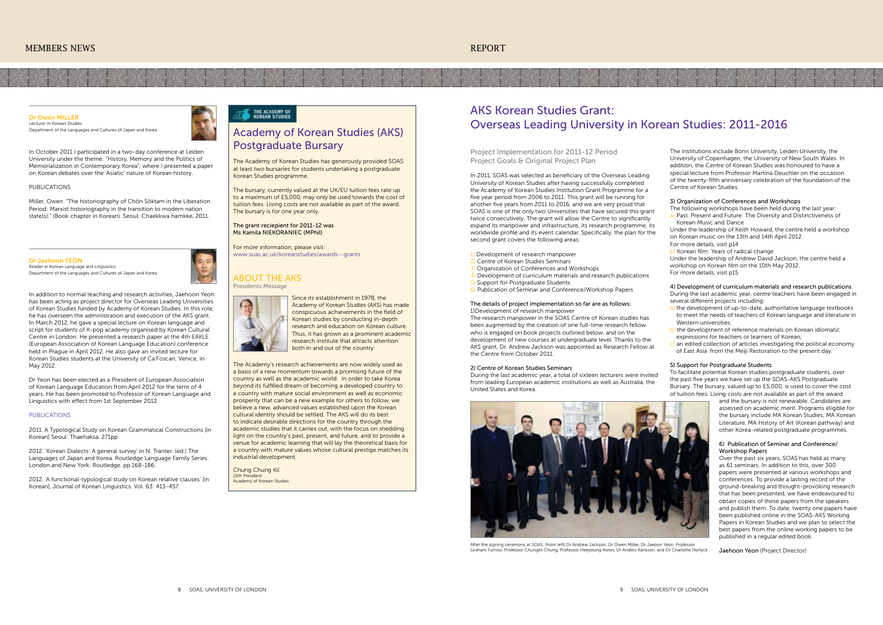#### Dr Owen MILLER Lecturer in Korean Studies

Department of the Languages and Cultures of Japan and Korea



In October 2011 I participated in a two-day conference at Leiden University under the theme: "History, Memory and the Politics of Memorialization in Contemporary Korea", where I presented a paper on Korean debates over the 'Asiatic' nature of Korean history.

#### PUBLICATIONS

Miller, Owen. "The historiography of Chŏn Sŏktam in the Liberation Period: Marxist historiography in the transition to modern nation state(s)." (Book chapter in Korean). Seoul: Chaekkwa hamkke, 2011.

# AKS Korean Studies Grant: Overseas Leading University in Korean Studies: 2011-2016

Project Implementation for 2011-12 Period Project Goals & Original Project Plan

In 2011, SOAS was selected as beneficiary of the Overseas Leading University of Korean Studies after having successfully completed the Academy of Korean Studies Institution Grant Programme for a five year period from 2006 to 2011. This grant will be running for another five years from 2011 to 2016, and we are very proud that SOAS is one of the only two Universities that have secured this grant twice consecutively. The grant will allow the Centre to significantly expand its manpower and infrastructure, its research programme, its worldwide profile and its event calendar. Specifically, the plan for the second grant covers the following areas:

- 1) Development of research manpower
- 2) Centre of Korean Studies Seminars
- **Organization of Conferences and Workshops**
- 4) Development of curriculum materials and research publications
- 5) Support for Postgraduate Students
- 6) Publication of Seminar and Conference/Workshop Papers

#### The details of project implementation so far are as follows: 1)Development of research manpower

- a) the development of up-to-date, authoritative language textbooks to meet the needs of teachers of Korean language and literature in Western universities:
- b) the development of reference materials on Korean idiomatic expressions for teachers or learners of Korean;
- $\overline{c}$ ) an edited collection of articles investigating the political economy of East Asia from the Meiji Restoration to the present day.

The research manpower in the SOAS Centre of Korean studies has been augmented by the creation of one full-time research fellow who is engaged on book projects outlined below, and on the development of new courses at undergraduate level. Thanks to the AKS grant, Dr. Andrew Jackson was appointed as Research Fellow at the Centre from October 2011.

#### 2) Centre of Korean Studies Seminars

During the last academic year, a total of sixteen lecturers were invited from leading European academic institutions as well as Australia, the United States and Korea.

The institutions include Bonn University, Leiden University, the University of Copenhagen, the University of New South Wales. In addition, the Centre of Korean Studies was honoured to have a special lecture from Professor Martina Deuchler on the occasion of the twenty-fifth anniversary celebration of the foundation of the Centre of Korean Studies.

## 3) Organization of Conferences and Workshops

The following workshops have been held during the last year: a) Past, Present and Future: The Diversity and Distinctiveness of Korean Music and Dance

Under the leadership of Keith Howard, the centre held a workshop on Korean music on the 13th and 14th April 2012.

For more details, visit p14

b) Korean film: Years of radical change

Under the leadership of Andrew David Jackson, the centre held a workshop on Korean film on the 10th May 2012.

For more details, visit p15

4) Development of curriculum materials and research publications During the last academic year, centre teachers have been engaged in several different projects including:

2012. 'A functional-typological study on Korean relative clauses' lin Korean], Journal of Korean Linguistics. Vol. 63: 413-457.

## THE ACADEMY OF

#### 5) Support for Postgraduate Students

To facilitate potential Korean studies postgraduate students, over the past five years we have set up the SOAS-AKS Postgraduate Bursary. The bursary, valued up to £5,000, is used to cover the cost of tuition fees. Living costs are not available as part of the award



After the signing ceremony at SOAS, (from left) Dr Andrew Jackson, Dr Owen Miller, Dr Jaeoon Yeon, Professor Graham Furniss, Professor Chungkil Chung, Professor Heeyoung Kwon, Dr Anders Karlsson, and Dr Charlotte Horlyck

and the bursary is not renewable. Candidates are assessed on academic merit. Programs eligible for the bursary include MA Korean Studies, MA Korean Literature, MA History of Art (Korean pathway) and other Korea-related postgraduate programmes.

#### 6) Publication of Seminar and Conference/ Workshop Papers

Over the past six years, SOAS has held as many as 61 seminars. In addition to this, over 300 papers were presented at various workshops and conferences. To provide a lasting record of the ground-breaking and thought-provoking research that has been presented, we have endeavoured to obtain copies of these papers from the speakers and publish them. To date, twenty one papers have been published online in the SOAS-AKS Working Papers in Korean Studies and we plan to select the best papers from the online working papers to be published in a regular edited book.

Jaehoon Yeon (Project Director)

Dr Jaehoon YEON Pader in Korean Language and Linguistics Department of the Languages and Cultures of Japan and Korea



Dr Yeon has been elected as a President of European Association of Korean Language Education from April 2012 for the term of 4 years. He has been promoted to Professor of Korean Language and Linguistics with effect from 1st September 2012.

#### PUBLICATIONS

2011. A Typological Study on Korean Grammatical Constructions [in Korean] Seoul: Thaehaksa. 271pp

2012. 'Korean Dialects: A general survey' in N. Tranter. (ed.) The Languages of Japan and Korea. Routledge Language Family Series. London and New York: Routledge. pp.168-186.

## Academy of Korean Studies (AKS) Postgraduate Bursary

The Academy of Korean Studies has generously provided SOAS at least two bursaries for students undertaking a postgraduate Korean Studies programme.

The bursary, currently valued at the UK/EU tuition fees rate up to a maximum of £5,000, may only be used towards the cost of tuition fees. Living costs are not available as part of the award. The bursary is for one year only.

#### The grant reciepient for 2011-12 was Ms Kamila Niekoraniec (MPhil)

For more information, please visit: www.soas.ac.uk/koreanstudies/awards--grants

## About the AKS





The Academy's research achievements are now widely used as a basis of a new momentum towards a promising future of the country as well as the academic world. In order to take Korea beyond its fulfilled dream of becoming a developed country to a country with mature social environment as well as economic prosperity that can be a new example for others to follow, we believe a new, advanced values established upon the Korean cultural identity should be settled. The AKS will do its best to indicate desirable directions for the country through the academic studies that it carries out, with the focus on shedding light on the country's past, present, and future, and to provide a venue for academic learning that will lay the theoretical basis for a country with mature values whose cultural prestige matches its industrial development.

Chung Chung Kil 15th President Academy of Korean Studies

Since its establishment in 1978, the Academy of Korean Studies (AKS) has made conspicuous achievements in the field of Korean studies by conducting in-depth research and education on Korean culture. Thus, it has grown as a prominent academic research institute that attracts attention both in and out of the country.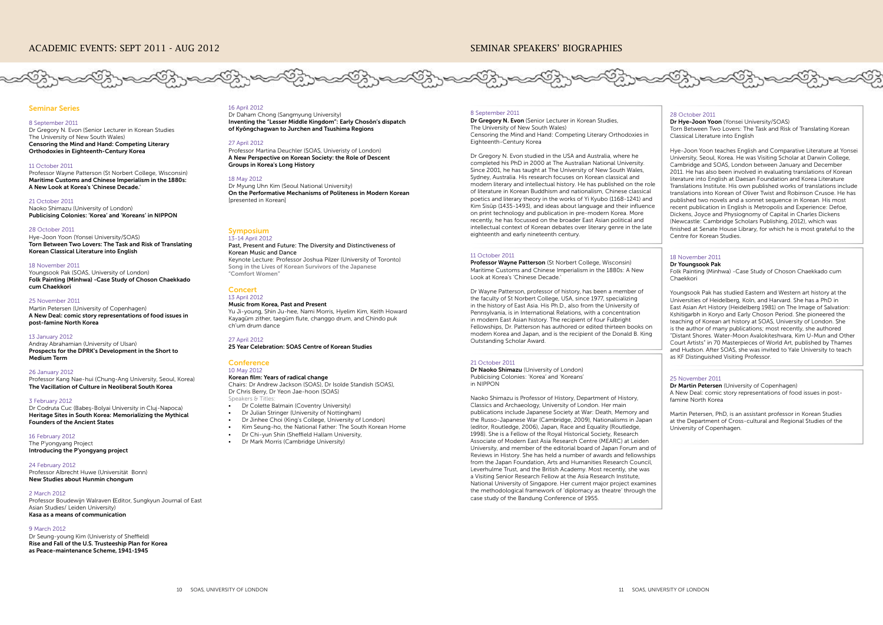#### Seminar Series

#### 8 September 2011

Dr Gregory N. Evon (Senior Lecturer in Korean Studies The University of New South Wales) Censoring the Mind and Hand: Competing Literary Orthodoxies in Eighteenth-Century Korea

#### 11 October 2011

Professor Wayne Patterson (St Norbert College, Wisconsin) Maritime Customs and Chinese Imperialism in the 1880s: A New Look at Korea's 'Chinese Decade.'

#### 21 October 2011

Naoko Shimazu (University of London) Publicising Colonies: 'Korea' and 'Koreans' in NIPPON

#### 28 October 2011

Hye-Joon Yoon (Yonsei University/SOAS) Torn Between Two Lovers: The Task and Risk of Translating Korean Classical Literature into English

#### 18 November 2011

Youngsook Pak (SOAS, University of London) Folk Painting (Minhwa) -Case Study of Choson Chaekkado cum Chaekkori

#### 25 November 2011

Martin Petersen (University of Copenhagen) A New Deal: comic story representations of food issues in post-famine North Korea

#### 13 January 2012

#### **Concert** 13 April 2012

Andray Abrahamian (University of Ulsan) Prospects for the DPRK's Development in the Short to Medium Term

#### 26 January 2012

Professor Kang Nae-hui (Chung-Ang University, Seoul, Korea) The Vacillation of Culture in Neoliberal South Korea

#### **Conference** 10 May 2012

Chairs: Dr Andrew Jackson (SOAS), Dr Isolde Standish (SOAS), Dr Chris Berry, Dr Yeon Jae-hoon (SOAS) Speakers & Title

• Dr Colette Balmain (Coventry University)

- Dr Julian Stringer (University of Nottingham)
- Dr Jinhee Choi (King's College, University of London)
- Kim Seung-ho, the National Father: The South Korean Home
- Dr Chi-yun Shin (Sheffield Hallam University,
- Dr Mark Morris (Cambridge University)

#### 3 February 2012

Dr Codruta Cuc (Babeş-Bolyai University in Cluj-Napoca) Heritage Sites in South Korea: Memorializing the Mythical Founders of the Ancient States

#### 16 February 2012

The P'yongyang Project Introducing the P'yongyang project

24 February 2012 Professor Albrecht Huwe (Universität Bonn) New Studies about Hunmin chongum

Dr Gregory N. Evon (Senior Lecturer in Korean Studies, The University of New South Wales) Censoring the Mind and Hand: Competing Literary Orthodoxies in Eighteenth-Century Korea

#### 2 March 2012

Professor Boudewijn Walraven (Editor, Sungkyun Journal of East Asian Studies/ Leiden University) Kasa as a means of communication

#### 9 March 2012

Dr Seung-young Kim (Univeristy of Sheffield) Rise and Fall of the U.S. Trusteeship Plan for Korea as Peace-maintenance Scheme, 1941-1945

#### Symposium 13-14 April 2012

#### Past, Present and Future: The Diversity and Distinctiveness of Korean Music and Dance

Keynote Lecture: Professor Joshua Pilzer (University of Toronto) Song in the Lives of Korean Survivors of the Japanese "Comfort Women"

#### Music from Korea, Past and Present

Yu Ji-young, Shin Ju-hee, Nami Morris, Hyelim Kim, Keith Howard Kayagŭm zither, taegŭm flute, changgo drum, and Chindo puk ch'um drum dance

#### 27 April 2012

25 Year Celebration: SOAS Centre of Korean Studies

### Korean film: Years of radical change

## SEMINAR SPEAKERS' BIOGRAPHIES



## 8 September 2011

Dr Gregory N. Evon studied in the USA and Australia, where he completed his PhD in 2000 at The Australian National University. Since 2001, he has taught at The University of New South Wales, Sydney, Australia. His research focuses on Korean classical and modern literary and intellectual history. He has published on the role of literature in Korean Buddhism and nationalism, Chinese classical poetics and literary theory in the works of Yi Kyubo (1168-1241) and Kim Sisŭp (1435-1493), and ideas about language and their influence on print technology and publication in pre-modern Korea. More recently, he has focussed on the broader East Asian political and intellectual context of Korean debates over literary genre in the late eighteenth and early nineteenth century.

#### 11 October 2011

Professor Wayne Patterson (St Norbert College, Wisconsin) Maritime Customs and Chinese Imperialism in the 1880s: A New Look at Korea's 'Chinese Decade.'

Dr Wayne Patterson, professor of history, has been a member of the faculty of St Norbert College, USA, since 1977, specializing in the history of East Asia. His Ph.D., also from the University of Pennsylvania, is in International Relations, with a concentration in modern East Asian history. The recipient of four Fulbright Fellowships, Dr. Patterson has authored or edited thirteen books on modern Korea and Japan, and is the recipient of the Donald B. King Outstanding Scholar Award.

#### 21 October 2011

Dr Naoko Shimazu (University of London) Publicising Colonies: 'Korea' and 'Koreans' in NIPPON

Naoko Shimazu is Professor of History, Department of History, Classics and Archaeology, University of London. Her main publications include Japanese Society at War: Death, Memory and the Russo-Japanese War (Cambridge, 2009), Nationalisms in Japan (editor, Routledge, 2006), Japan, Race and Equality (Routledge, 1998). She is a Fellow of the Royal Historical Society, Research Associate of Modern East Asia Research Centre (MEARC) at Leiden University, and member of the editorial board of Japan Forum and of Reviews in History. She has held a number of awards and fellowships from the Japan Foundation, Arts and Humanities Research Council, Leverhulme Trust, and the British Academy. Most recently, she was a Visiting Senior Research Fellow at the Asia Research Institute, National University of Singapore. Her current major project examines the methodological framework of 'diplomacy as theatre' through the case study of the Bandung Conference of 1955.

#### 28 October 2011

Dr Hye-Joon Yoon (Yonsei University/SOAS) Torn Between Two Lovers: The Task and Risk of Translating Korean Classical Literature into English

Hye-Joon Yoon teaches English and Comparative Literature at Yonsei University, Seoul, Korea. He was Visiting Scholar at Darwin College, Cambridge and SOAS, London between January and December 2011. He has also been involved in evaluating translations of Korean literature into English at Daesan Foundation and Korea Literature Translations Institute. His own published works of translations include translations into Korean of Oliver Twist and Robinson Crusoe. He has published two novels and a sonnet sequence in Korean. His most recent publication in English is Metropolis and Experience: Defoe, Dickens, Joyce and Physiognomy of Capital in Charles Dickens (Newcastle: Cambridge Scholars Publishing, 2012), which was finished at Senate House Library, for which he is most grateful to the Centre for Korean Studies.

## 18 November 2011

Dr Youngsook Pak

Folk Painting (Minhwa) -Case Study of Choson Chaekkado cum Chaekkori

Youngsook Pak has studied Eastern and Western art history at the Universities of Heidelberg, Koln, and Harvard. She has a PhD in East Asian Art History (Heidelberg 1981) on The Image of Salvation: Kshitigarbh in Koryo and Early Choson Period. She pioneered the teaching of Korean art history at SOAS, University of London. She is the author of many publications; most recently, she authored "Distant Shores. Water-Moon Avalokiteshvara, Kim U-Mun and Other Court Artists" in 70 Masterpieces of World Art, published by Thames and Hudson. After SOAS, she was invited to Yale University to teach as KF Distinguished Visiting Professor.

#### 25 November 2011

Dr Martin Petersen (University of Copenhagen) A New Deal: comic story representations of food issues in postfamine North Korea

Martin Petersen, PhD, is an assistant professor in Korean Studies at the Department of Cross-cultural and Regional Studies of the University of Copenhagen.

## 16 April 2012

Dr Daham Chong (Sangmyung University) Inventing the "Lesser Middle Kingdom": Early Chosŏn's dispatch of Kyŏngchagwan to Jurchen and Tsushima Regions

#### 27 April 2012

Professor Martina Deuchler (SOAS, Univeristy of London) A New Perspective on Korean Society: the Role of Descent Groups in Korea's Long History

#### 18 May 2012

Dr Myung Uhn Kim (Seoul National University) On the Performative Mechanisms of Politeness in Modern Korean [presented in Korean]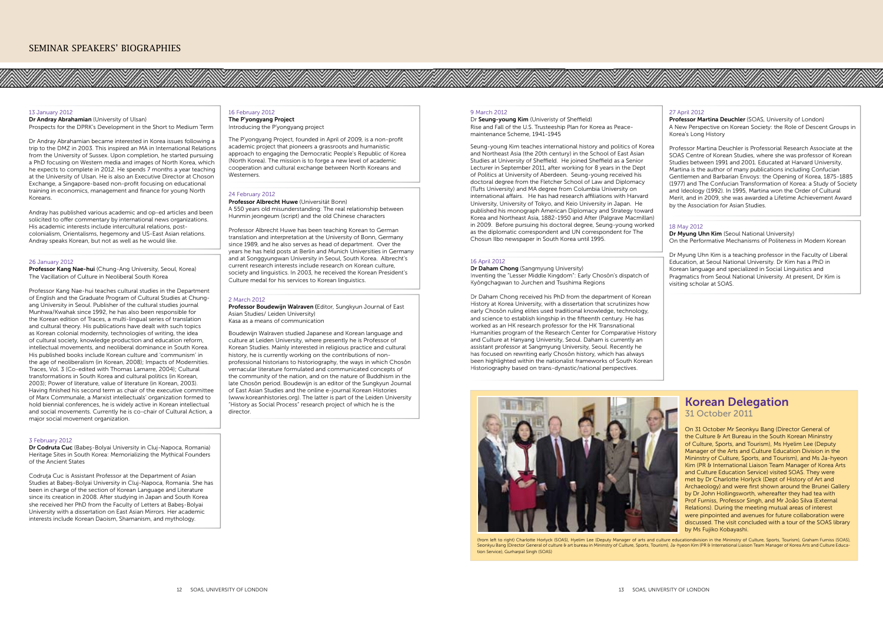#### 13 January 2012

Dr Andray Abrahamian (University of Ulsan) Prospects for the DPRK's Development in the Short to Medium Term

Dr Andray Abrahamian became interested in Korea issues following a trip to the DMZ in 2003. This inspired an MA in International Relations from the University of Sussex. Upon completion, he started pursuing a PhD focusing on Western media and images of North Korea, which he expects to complete in 2012. He spends 7 months a year teaching at the University of Ulsan. He is also an Executive Director at Choson Exchange, a Singapore-based non-profit focusing on educational training in economics, management and finance for young North Koreans.

Andray has published various academic and op-ed articles and been solicited to offer commentary by international news organizations. His academic interests include intercultural relations, postcolonialism, Orientalisms, hegemony and US-East Asian relations. Andray speaks Korean, but not as well as he would like.

#### 26 January 2012

Professor Kang Nae-hui (Chung-Ang University, Seoul, Korea) The Vacillation of Culture in Neoliberal South Korea

Codruta Cuc is Assistant Professor at the Department of Asian Studies at Babeş-Bolyai University in Cluj-Napoca, Romania. She has been in charge of the section of Korean Language and Literature since its creation in 2008. After studying in Japan and South Korea she received her PhD from the Faculty of Letters at Babeş-Bolyai University with a dissertation on East Asian Mirrors. Her academic interests include Korean Daoism, Shamanism, and mythology.

The P'yongyang Project, founded in April of 2009, is a non-profit academic project that pioneers a grassroots and humanistic approach to engaging the Democratic People's Republic of Korea (North Korea). The mission is to forge a new level of academic cooperation and cultural exchange between North Koreans and **Westerners** 

Professor Kang Nae-hui teaches cultural studies in the Department of English and the Graduate Program of Cultural Studies at Chungang University in Seoul. Publisher of the cultural studies journal Munhwa/Kwahak since 1992, he has also been responsible for the Korean edition of Traces, a multi-lingual series of translation and cultural theory. His publications have dealt with such topics as Korean colonial modernity, technologies of writing, the idea of cultural society, knowledge production and education reform, intellectual movements, and neoliberal dominance in South Korea. His published books include Korean culture and 'communism' in the age of neoliberalism (in Korean, 2008); Impacts of Modernities. Traces, Vol. 3 (Co-edited with Thomas Lamarre, 2004); Cultural transformations in South Korea and cultural politics (in Korean, 2003); Power of literature, value of literature (in Korean, 2003). Having finished his second term as chair of the executive committee of Marx Communale, a Marxist intellectuals' organization formed to hold biennial conferences, he is widely active in Korean intellectual and social movements. Currently he is co-chair of Cultural Action, a major social movement organization.

Boudewijn Walraven studied Japanese and Korean language and culture at Leiden University, where presently he is Professor of Korean Studies. Mainly interested in religious practice and cultural history, he is currently working on the contributions of nonprofessional historians to historiography, the ways in which Chosŏn vernacular literature formulated and communicated concepts of the community of the nation, and on the nature of Buddhism in the late Chosŏn period. Boudewijn is an editor of the Sungkyun Journal of East Asian Studies and the online e-journal Korean Histories (www.koreanhistories.org). The latter is part of the Leiden University "History as Social Process" research project of which he is the director

#### 3 February 2012

Dr Codruta Cuc (Babeş-Bolyai University in Cluj-Napoca, Romania) Heritage Sites in South Korea: Memorializing the Mythical Founders of the Ancient States

#### 16 February 2012 The P'yongyang Project Introducing the P'yongyang project

#### 24 February 2012

Professor Albrecht Huwe (Universität Bonn) A 550 years old misunderstanding: The real relationship between Hunmin jeongeum (script) and the old Chinese characters

Professor Albrecht Huwe has been teaching Korean to German translation and interpretation at the University of Bonn, Germany since 1989, and he also serves as head of department. Over the years he has held posts at Berlin and Munich Universities in Germany and at Songgyungwan University in Seoul, South Korea. Albrecht's current research interests include research on Korean culture, society and linguistics. In 2003, he received the Korean President's Culture medal for his services to Korean linguistics.

#### 2 March 2012

Professor Boudewijn Walraven (Editor, Sungkyun Journal of East Asian Studies/ Leiden University) Kasa as a means of communication



(from left to right) Charlotte Horlyck (SOAS), Hyelim Lee (Deputy Manager of arts and culture educationdivision in the Mininstry of Culture, Sports, Tourism), Graham Furniss (SOAS),<br>Seonkyu Bang (Director General of cultur tion Service), Gurharpal Singh (SOAS)

#### 9 March 2012

Dr Seung-young Kim (Univeristy of Sheffield) Rise and Fall of the U.S. Trusteeship Plan for Korea as Peacemaintenance Scheme, 1941-1945

Seung-young Kim teaches international history and politics of Korea and Northeast Asia (the 20th century) in the School of East Asian Studies at University of Sheffield. He joined Sheffield as a Senior Lecturer in September 2011, after working for 8 years in the Dept of Politics at University of Aberdeen. Seung-young received his doctoral degree from the Fletcher School of Law and Diplomacy (Tufts University) and MA degree from Columbia University on international affairs. He has had research affiliations with Harvard University, University of Tokyo, and Keio University in Japan. He published his monograph American Diplomacy and Strategy toward Korea and Northeast Asia, 1882-1950 and After (Palgrave Macmillan) in 2009. Before pursuing his doctoral degree, Seung-young worked as the diplomatic correspondent and UN correspondent for The Chosun Ilbo newspaper in South Korea until 1995.

#### 16 April 2012

Dr Daham Chong (Sangmyung University) Inventing the "Lesser Middle Kingdom": Early Chosŏn's dispatch of Kyŏngchagwan to Jurchen and Tsushima Regions

Dr Daham Chong received his PhD from the department of Korean History at Korea University, with a dissertation that scrutinizes how early Chosŏn ruling elites used traditional knowledge, technology, and science to establish kingship in the fifteenth century. He has worked as an HK research professor for the HK Transnational Humanities program of the Research Center for Comparative History and Culture at Hanyang University, Seoul. Daham is currently an assistant professor at Sangmyung University, Seoul. Recently he has focused on rewriting early Chosŏn history, which has always been highlighted within the nationalist frameworks of South Korean Historiography based on trans-dynastic/national perspectives.

#### 27 April 2012

Professor Martina Deuchler (SOAS, University of London) A New Perspective on Korean Society: the Role of Descent Groups in Korea's Long History

Professor Martina Deuchler is Professorial Research Associate at the SOAS Centre of Korean Studies, where she was professor of Korean Studies between 1991 and 2001. Educated at Harvard University, Martina is the author of many publications including Confucian Gentlemen and Barbarian Envoys: the Opening of Korea, 1875-1885 (1977) and The Confucian Transformation of Korea: a Study of Society and Ideology (1992). In 1995, Martina won the Order of Cultural Merit, and in 2009, she was awarded a Lifetime Achievement Award by the Association for Asian Studies.

#### 18 May 2012

Dr Myung Uhn Kim (Seoul National University) On the Performative Mechanisms of Politeness in Modern Korean

Dr Myung Uhn Kim is a teaching professor in the Faculty of Liberal Education, at Seoul National University. Dr Kim has a PhD in Korean language and specialized in Social Linguistics and Pragmatics from Seoul National University. At present, Dr Kim is visiting scholar at SOAS.

## Korean Delegation

31 October 2011

On 31 October Mr Seonkyu Bang (Director General of the Culture & Art Bureau in the South Korean Mininstry of Culture, Sports, and Tourism), Ms Hyelim Lee (Deputy Manager of the Arts and Culture Education Division in the Mininstry of Culture, Sports, and Tourism), and Ms Ja-hyeon Kim (PR & International Liaison Team Manager of Korea Arts and Culture Education Service) visited SOAS. They were met by Dr Charlotte Horlyck (Dept of History of Art and Archaeology) and were first shown around the Brunei Gallery by Dr John Hollingsworth, whereafter they had tea with Prof Furniss, Professor Singh, and Mr João Silva (External Relations). During the meeting mutual areas of interest were pinpointed and avenues for future collaboration were discussed. The visit concluded with a tour of the SOAS library by Ms Fujiko Kobayashi.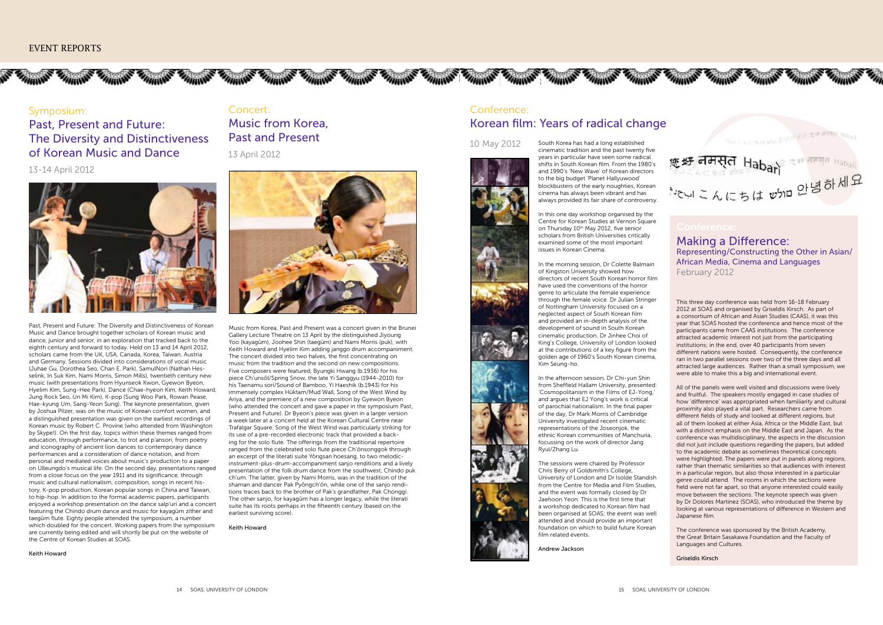

्नमस्त Habari

んにちばがかい

## THIS STATISTICS THROUGH THIS THROUGH THE THIS COMMUNITY OF THE COMMUNITY OF THE

## Symposium: Past, Present and Future: The Diversity and Distinctiveness of Korean Music and Dance

## 13-14 April 2012



Past, Present and Future: The Diversity and Distinctiveness of Korean Music and Dance brought together scholars of Korean music and dance, junior and senior, in an exploration that tracked back to the eighth century and forward to today. Held on 13 and 14 April 2012, scholars came from the UK, USA, Canada, Korea, Taiwan, Austria and Germany. Sessions divided into considerations of vocal music (Juhae Gu, Dorothea Seo, Chan E. Park), SamulNori (Nathan Hesselink, In Suk Kim, Nami Morris, Simon Mills), twentieth century new music (with presentations from Hyunseok Kwon, Gyewon Byeon, Hyelim Kim, Sung-Hee Park), Dance (Chae-hyeon Kim, Keith Howard, Jung Rock Seo, Un Mi Kim), K-pop (Sung Woo Park, Rowan Pease, Hae-kyung Um, Sang-Yeon Sung). The keynote presentation, given by Joshua Pilzer, was on the music of Korean comfort women, and a distinguished presentation was given on the earliest recordings of Korean music by Robert C. Provine (who attended from Washington by Skype!). On the first day, topics within these themes ranged from education, through performance, to trot and p'ansori, from poetry and iconography of ancient lion dances to contemporary dance performances and a consideration of dance notation, and from personal and mediated voices about music's production to a paper on Ulleungdo's musical life. On the second day, presentations ranged from a close focus on the year 1911 and its significance, through music and cultural nationalism, composition, songs in recent history, K-pop production, Korean popular songs in China and Taiwan, to hip-hop. In addition to the formal academic papers, participants enjoyed a workshop presentation on the dance salp'uri and a concert featuring the Chindo drum dance and music for kayagŭm zither and taegŭm flute. Eighty people attended the symposium, a number which doubled for the concert. Working papers from the symposium are currently being edited and will shortly be put on the website of the Centre of Korean Studies at SOAS.

#### Keith Howard

## Concert:

# Music from Korea, Past and Present 13 April 2012



Music from Korea, Past and Present was a concert given in the Brunei Gallery Lecture Theatre on 13 April by the distinguished Jiyoung Yoo (kayagŭm), Joohee Shin (taegŭm) and Nami Morris (puk), with Keith Howard and Hyelim Kim adding janggo drum accompaniment. The concert divided into two halves, the first concentrating on music from the tradition and the second on new compositions. Five composers were featured, Byungki Hwang (b.1936) for his piece Ch'unsŏl/Spring Snow, the late Yi Sanggyu (1944-2010) for his Taenamu sori/Sound of Bamboo, Yi Haeshik (b.1943) for his immensely complex Hŭktam/Mud Wall, Song of the West Wind by Ariya, and the premiere of a new composition by Gyewon Byeon (who attended the concert and gave a paper in the symposium Past, Present and Future). Dr Byeon's piece was given in a larger version a week later at a concert held at the Korean Cultural Centre near Trafalgar Square. Song of the West Wind was particularly striking for its use of a pre-recorded electronic track that provided a backing for the solo flute. The offerings from the traditional repertoire ranged from the celebrated solo flute piece Ch'ŏnsonggok through an excerpt of the literati suite Yŏngsan hoesang, to two melodicinstrument-plus-drum-accompaniment sanjo renditions and a lively presentation of the folk drum dance from the southwest, Chindo puk ch'um. The latter, given by Nami Morris, was in the tradition of the shaman and dancer Pak Pyŏngch'ŏn, while one of the sanjo renditions traces back to the brother of Pak's grandfather, Pak Chonggi. The other sanjo, for kayagŭm has a longer legacy, while the literati suite has its roots perhaps in the fifteenth century (based on the earliest surviving score).

## Keith Howard

# Conference: Korean film: Years of radical change



10 May 2012 South Korea has had a long established cinematic tradition and the past twenty five years in particular have seen some radical shifts in South Korean film. From the 1980's and 1990's 'New Wave' of Korean directors to the big budget 'Planet Hallyuwood' blockbusters of the early noughties, Korean cinema has always been vibrant and has always provided its fair share of controversy.

> In this one day workshop organised by the Centre for Korean Studies at Vernon Square on Thursday 10<sup>th</sup> May 2012, five senior scholars from British Universities critically examined some of the most important issues in Korean Cinema.

> In the morning session, Dr Colette Balmain of Kingston University showed how directors of recent South Korean horror film have used the conventions of the horror genre to articulate the female experience through the female voice. Dr Julian Stringer of Nottingham University focused on a neglected aspect of South Korean film and provided an in-depth analysis of the development of sound in South Korean cinematic production. Dr Jinhee Choi of King's College, University of London looked at the contributions of a key figure from the golden age of 1960's South Korean cinema, Kim Seung-ho.

In the afternoon session, Dr Chi-yun Shin from Sheffield Hallam University, presented: 'Cosmopolitanism in the Films of EJ-Yong,' and argues that EJ Yong's work is critical of parochial nationalism. In the final paper of the day, Dr Mark Morris of Cambridge University investigated recent cinematic representations of the Joseonjok, the ethnic Korean communities of Manchuria, focussing on the work of director Jang Ryul/Zhang Lu.

The sessions were chaired by Professor Chris Berry of Goldsmith's College, University of London and Dr Isolde Standish from the Centre for Media and Film Studies, and the event was formally closed by Dr Jaehoon Yeon. This is the first time that a workshop dedicated to Korean film had been organised at SOAS; the event was well attended and should provide an important foundation on which to build future Korean film related events.

Andrew Jackson

This three day conference was held from 16-18 February 2012 at SOAS and organised by Griseldis Kirsch. As part of a consortium of African and Asian Studies (CAAS), it was this year that SOAS hosted the conference and hence most of the participants came from CAAS institutions. The conference attracted academic interest not just from the participating institutions; in the end, over 40 participants from seven different nations were hosted. Consequently, the conference ran in two parallel sessions over two of the three days and all attracted large audiences. Rather than a small symposium, we were able to make this a big and international event.

All of the panels were well visited and discussions were lively and fruitful. The speakers mostly engaged in case studies of how 'difference' was appropriated when familiarity and cultural proximity also played a vital part. Researchers came from different fields of study and looked at different regions, but all of them looked at either Asia, Africa or the Middle East, but with a distinct emphasis on the Middle East and Japan. As the conference was multidisciplinary, the aspects in the discussion did not just include questions regarding the papers, but added to the academic debate as sometimes theoretical concepts were highlighted. The papers were put in panels along regions, rather than thematic similarities so that audiences with interest in a particular region, but also those interested in a particular genre could attend. The rooms in which the sections were held were not far apart, so that anyone interested could easily move between the sections. The keynote speech was given by Dr Dolores Martinez (SOAS), who introduced the theme by looking at various representations of difference in Western and Japanese film.

The conference was sponsored by the British Academy, the Great Britain Sasakawa Foundation and the Faculty of Languages and Cultures.

Griseldis Kirsch

Making a Difference: Representing/Constructing the Other in Asian/ African Media, Cinema and Languages February 2012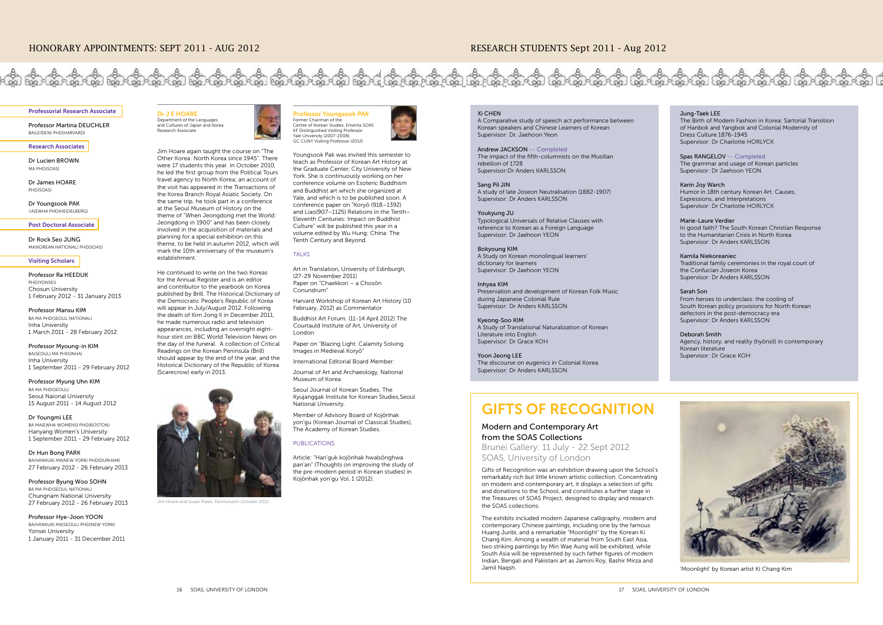

#### Professorial Research Associate

Professor Martina DEUCHLER BA(LEIDEN) PHD(HARVARD)

#### Research Associates

Dr Lucien BROWN MA PHD(SOAS)

Dr James HOARE PHD(SOAS)

Dr Youngsook PAK BA(EWHA PHD(HEIDELBERG)

Post Doctoral Associate

Dr Rock Seo JUNG MA(KOREAN NATIONAL) PHD(SOAS)

#### Visiting Scholars

Professor Ra HEEDUK **PHD(YONSEI)** Chosun University 1 February 2012 - 31 January 2013

Professor Mansu KIM BA MA PHD(SEOUL NATIONAL) Inha University 1 March 2011 - 28 February 2012

Professor Myoung-in KIM BA(SEOUL) MA PHD(INHA) Inha University 1 September 2011 - 29 February 2012

Professor Myung Uhn KIM BA MA PHD(SEOUL) Seoul Naional University 15 August 2011 - 14 August 2012

#### Dr Youngmi LEE

BA MA(EWHA WOMENS) PHD(BOSTON) Hanyang Women's University 1 September 2011 - 29 February 2012

Dr Hun Bong PARK BA(HANKUK) MA(NEW YORK) PHD(DURHAM) 27 February 2012 - 26 February 2013

Professor Byung Woo SOHN BA MA PHD(SEOUL NATIONAL) Chungnam National University 27 February 2012 - 26 February 2013

Professor Hye-Joon YOON BA(HANKUK) MA(SEOUL) PHD(NEW YORK) Yonsei University 1 January 2011 - 31 December 2011

Dr J E HOARE Department of the Languages and Cultures of Japan and Korea Research Associate

Jim Hoare again taught the course on "The Other Korea: North Korea since 1945". There were 17 students this year. In October 2010, he led the first group from the Political Tours travel agency to North Korea; an account of the visit has appeared in the Transactions of the Korea Branch Royal Asiatic Society. On the same trip, he took part in a conference at the Seoul Museum of History on the theme of "When Jeongdong met the World: Jeongdong in 1900" and has been closely involved in the acquisition of materials and planning for a special exhibition on this theme, to be held in autumn 2012, which will mark the 10th anniversary of the museum's establishment.

He continued to write on the two Koreas for the Annual Register and is an editor and contributor to the yearbook on Korea published by Brill. The Historical Dictionary of the Democratic People's Republic of Korea will appear in July/August 2012. Following the death of Kim Jong Il in December 2011, he made numerous radio and television appearances, including an overnight eighthour stint on BBC World Television News on the day of the funeral. A collection of Critical Readings on the Korean Peninsula (Brill) should appear by the end of the year, and the Historical Dictionary of the Republic of Korea (Scarecrow) early in 2013.



are and Susan Pares, Panmunjom October 2012.



Xi CHEN

A Comparative study of speech act performance between Korean speakers and Chinese Learners of Korean Supervisor: Dr. Jaehoon Yeon

#### Andrew JACKSON -- Completed

The impact of the fifth-columnists on the Musillan rebellion of 1728 Supervisor:Dr Anders KARLSSON

Member of Advisory Board of Kojŏnhak yon'gu (Korean Journal of Classical Studies), .<br>The Academy of Korean Studies.

Sang Pil JIN A study of late Joseon Neutralisation (1882-1907) Supervisor: Dr Anders KARLSSON

#### Youkyung JU

Typological Universals of Relative Clauses with reference to Korean as a Foreign Language Supervisor: Dr Jaehoon YEON

#### Bokyoung KIM

A Study on Korean monolingual learners' dictionary for learners Supervisor: Dr Jaehoon YEON

#### Inhyea KIM

Preservation and development of Korean Folk Music during Japanese Colonial Rule Supervisor: Dr Anders KARLSSON

#### Kyeong-Soo KIM

A Study of Translational Naturalization of Korean Literature into English Supervisor: Dr Grace KOH

Yoon Jeong LEE The discourse on eugenics in Colonial Korea Supervisor: Dr Anders KARLSSON

#### Jung-Taek LEE The Birth of Modern Fashion in Korea: Sartorial Transition of Hanbok and Yangbok and Colonial Modernity of Dress Culture 1876-1945 Supervisor: Dr Charlotte HORLYCK

Spas RANGELOV -- Completed The grammar and usage of Korean particles Supervisor: Dr Jaehoon YEON

#### Karin Joy Warch

Humor in 18th century Korean Art: Causes, Expressions, and Interpretations Supervisor: Dr Charlotte HORLYCK

#### Marie-Laure Verdier

In good faith? The South Korean Christian Response to the Humanitarian Crisis in North Korea Supervisor: Dr Anders KARLSSON

### Kamila Niekoreaniec

Traditional family ceremonies in the royal court of the Confucian Joseon Korea Supervisor: Dr Anders KARLSSON

#### Sarah Son

From heroes to underclass: the cooling of South Korean policy provisions for North Korean defectors in the post-democracy era Supervisor: Dr Anders KARLSSON

#### Deborah Smith

Agency, history, and reality (hyŏnsil) in contemporary Korean literature Supervisor: Dr Grace KOH

#### Professor Youngsook PAK Former Chairman of the Centre of Korean Studies, Emerita SOAS KF Distinguished Visiting Professor Yale University (2007-2008), GC CUNY Visiting Professor (2012)

Youngsook Pak was invited this semester to teach as Professor of Korean Art History at the Graduate Center, City University of New York. She is continuously working on her conference volume on Esoteric Buddhism and Buddhist art which she organized at Yale, and which is to be published soon. A conference paper on "Koryŏ (918–1392) and Liao(907–1125) Relations in the Tenth– Eleventh Centuries: Impact on Buddhist Culture" will be published this year in a volume edited by Wu Hung: China: The Tenth Century and Beyond.

#### **TALKS**

Art in Translation, University of Edinburgh, (27-29 November 2011) Paper on "Chaekkori – a Chosŏn Conundrum"

Harvard Workshop of Korean Art History (10 February, 2012) as Commentator

Buddhist Art Forum. (11-14 April 2012) The Courtauld Institute of Art, University of London

Paper on "Blazing Light. Calamity Solving Images in Medieval Koryŏ"

International Editorial Board Member:

Journal of Art and Archaeology, National Museum of Korea

Seoul Journal of Korean Studies, The Kyujanggak Institute for Korean Studies,Seoul National University.

#### PUBLICATIONS

Article: "Han'guk kojŏnhak hwalsŏnghwa pan'an" (Thoughts on improving the study of the pre-modern period in Korean studies) in Kojŏnhak yon'gu Vol. 1 (2012).





'Moonlight' by Korean artist Ki Chang Kim

# GIFTS OF RECOGNITION

## Modern and Contemporary Art from the SOAS Collections

Brunei Gallery: 11 July - 22 Sept 2012 SOAS, University of London

Gifts of Recognition was an exhibition drawing upon the School's remarkably rich but little known artistic collection. Concentrating on modern and contemporary art, it displays a selection of gifts and donations to the School, and constitutes a further stage in the Treasures of SOAS Project, designed to display and research the SOAS collections.

The exhibits included modern Japanese calligraphy, modern and contemporary Chinese paintings, including one by the famous Huang Junbi, and a remarkable "Moonlight" by the Korean Ki Chang Kim. Among a wealth of material from South East Asia, two striking paintings by Min Wae Aung will be exhibited, while South Asia will be represented by such father figures of modern Indian, Bengali and Pakistani art as Jamini Roy, Bashir Mirza and Jamil Naqsh.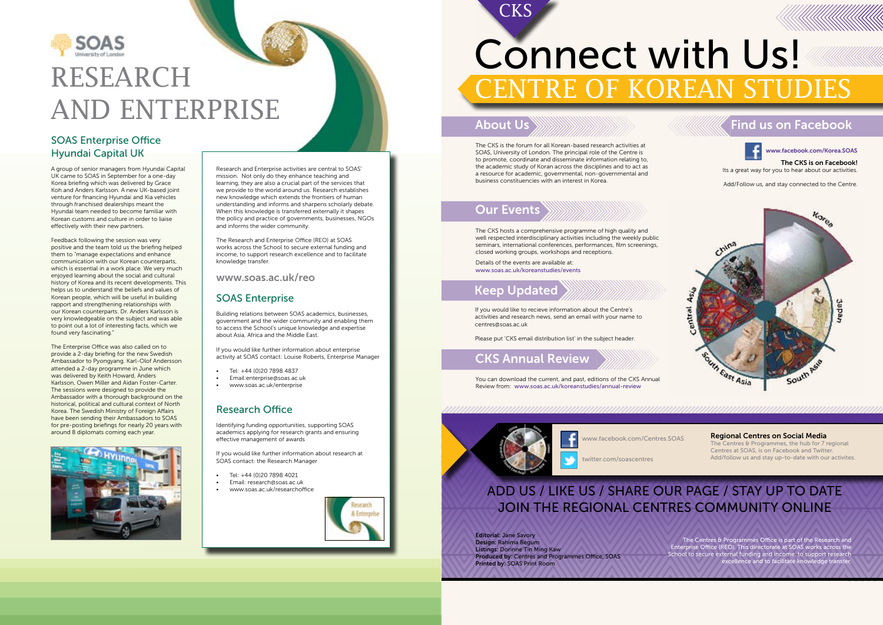

# RESEARCH AND ENTERPRISE

## SOAS Enterprise Office Hyundai Capital UK

A group of senior managers from Hyundai Capital UK came to SOAS in September for a one-day Korea briefing which was delivered by Grace Koh and Anders Karlsson. A new UK-based joint venture for financing Hyundai and Kia vehicles through franchised dealerships meant the Hyundai team needed to become familiar with Korean customs and culture in order to liaise effectively with their new partners.

Feedback following the session was very positive and the team told us the briefing helped them to "manage expectations and enhance communication with our Korean counterparts, which is essential in a work place. We very much enjoyed learning about the social and cultural history of Korea and its recent developments. This helps us to understand the beliefs and values of Korean people, which will be useful in building rapport and strengthening relationships with our Korean counterparts. Dr. Anders Karlsson is very knowledgeable on the subject and was able to point out a lot of interesting facts, which we found very fascinating."

The CKS is on Facebook! Its a great way for you to hear about our activities.

The Enterprise Office was also called on to provide a 2-day briefing for the new Swedish Ambassador to Pyongyang. Karl-Olof Andersson attended a 2-day programme in June which was delivered by Keith Howard, Anders Karlsson, Owen Miller and Aidan Foster-Carter. The sessions were designed to provide the Ambassador with a thorough background on the historical, political and cultural context of North Korea. The Swedish Ministry of Foreign Affairs have been sending their Ambassadors to SOAS for pre-posting briefings for nearly 20 years with around 8 diplomats coming each year.



The CKS is the forum for all Korean-based research activities at SOAS, University of London. The principal role of the Centre is to promote, coordinate and disseminate information relating to, the academic study of Koran across the disciplines and to act as a resource for academic, governmental, non-governmental and business constituencies with an interest in Korea.

If you would like to recieve information about the Centre's activities and research news, send an email with your name to centres@soas.ac.uk

Please put 'CKS email distribution list' in the subject header.

The CKS hosts a comprehensive programme of high quality and well respected interdisciplinary activities including the weekly public seminars, international conferences, performances, film screenings, closed working groups, workshops and receptions.

Details of the events are available at: www.soas.ac.uk/koreanstudies/events

# Connect with Us! CENTRE OF KOREAN STUDIES

You can download the current, and past, editions of the CKS Annual Review from: www.soas.ac.uk/koreanstudies/annual-review



www.facebook.com/Korea.SOAS

Add/Follow us, and stay connected to the Centre.



## About Us

**CKS** 

## Our Events

# Keep Updated

# CKS Annual Review

# Find us on Facebook



www.facebook.com/Centres.SOAS

twitter.com/soascentres

Regional Centres on Social Media The Centres & Programmes, the hub for 7 regional Centres at SOAS, is on Facebook and Twitter. Add/follow us and stay up-to-date with our activites.

# ADD US / LIKE US / SHARE OUR PAGE / STAY UP TO DATE JOIN THE REGIONAL CENTRES COMMUNITY ONLINE

Editorial: Jane Savory Design: Rahima Begum Listings: Dorinne Tin Ming Kaw Produced by: Centres and Programmes Office, SOAS Printed by: SOAS Print Room

The Centres & Programmes Office is part of the Research and Enterprise Office (REO). This directorate at SOAS works across the School to secure external funding and income, to support research excellence and to facilitate knowledge transfer.

Research and Enterprise activities are central to SOAS' mission. Not only do they enhance teaching and learning, they are also a crucial part of the services that we provide to the world around us. Research establishes new knowledge which extends the frontiers of human understanding and informs and sharpens scholarly debate. When this knowledge is transferred externally it shapes the policy and practice of governments, businesses, NGOs and informs the wider community.

The Research and Enterprise Office (REO) at SOAS works across the School to secure external funding and income, to support research excellence and to facilitate knowledge transfer.

www.soas.ac.uk/reo

## SOAS Enterprise

Building relations between SOAS academics, businesses, government and the wider community and enabling them to access the School's unique knowledge and expertise about Asia, Africa and the Middle East.

If you would like further information about enterprise activity at SOAS contact: Louise Roberts, Enterprise Manager

- Tel: +44 (0)20 7898 4837
- • Email:enterprise@soas.ac.uk
- www.soas.ac.uk/enterprise

## Research Office

Identifying funding opportunities, supporting SOAS academics applying for research grants and ensuring effective management of awards

If you would like further information about research at SOAS contact: the Research Manager

- Tel: +44 (0)20 7898 4021
- Email: research@soas.ac.uk
- www.soas.ac.uk/researchoffice